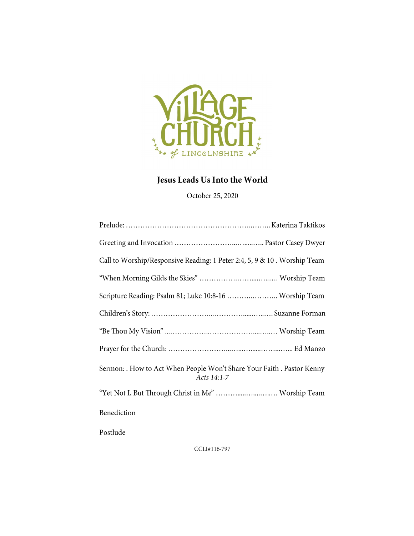

## Jesus Leads Us Into the World

October 25, 2020

| Call to Worship/Responsive Reading: 1 Peter 2:4, 5, 9 & 10. Worship Team              |
|---------------------------------------------------------------------------------------|
|                                                                                       |
| Scripture Reading: Psalm 81; Luke 10:8-16  Worship Team                               |
|                                                                                       |
|                                                                                       |
|                                                                                       |
| Sermon: . How to Act When People Won't Share Your Faith . Pastor Kenny<br>Acts 14:1-7 |
| "Yet Not I, But Through Christ in Me"  Worship Team                                   |
| Benediction                                                                           |
| Postlude                                                                              |

CCLI#116-797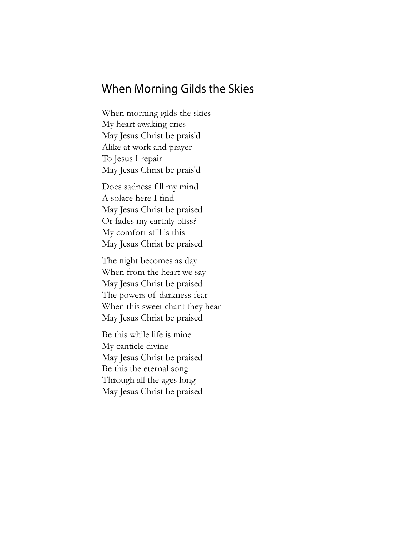## When Morning Gilds the Skies

When morning gilds the skies My heart awaking cries May Jesus Christ be prais'd Alike at work and prayer To Jesus I repair May Jesus Christ be prais'd

Does sadness fill my mind A solace here I find May Jesus Christ be praised Or fades my earthly bliss? My comfort still is this May Jesus Christ be praised

The night becomes as day When from the heart we say May Jesus Christ be praised The powers of darkness fear When this sweet chant they hear May Jesus Christ be praised

Be this while life is mine My canticle divine May Jesus Christ be praised Be this the eternal song Through all the ages long May Jesus Christ be praised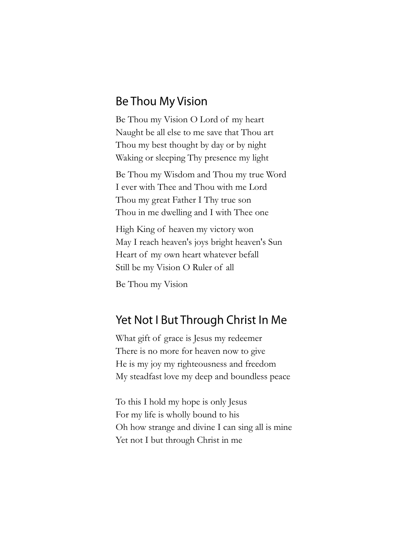## **Be Thou My Vision**

Be Thou my Vision O Lord of my heart Naught be all else to me save that Thou art Thou my best thought by day or by night Waking or sleeping Thy presence my light

Be Thou my Wisdom and Thou my true Word I ever with Thee and Thou with me Lord Thou my great Father I Thy true son Thou in me dwelling and I with Thee one

High King of heaven my victory won May I reach heaven's joys bright heaven's Sun Heart of my own heart whatever befall Still be my Vision O Ruler of all

Be Thou my Vision

## Yet Not I But Through Christ In Me

What gift of grace is Jesus my redeemer There is no more for heaven now to give He is my joy my righteousness and freedom My steadfast love my deep and boundless peace

To this I hold my hope is only Jesus For my life is wholly bound to his Oh how strange and divine I can sing all is mine Yet not I but through Christ in me